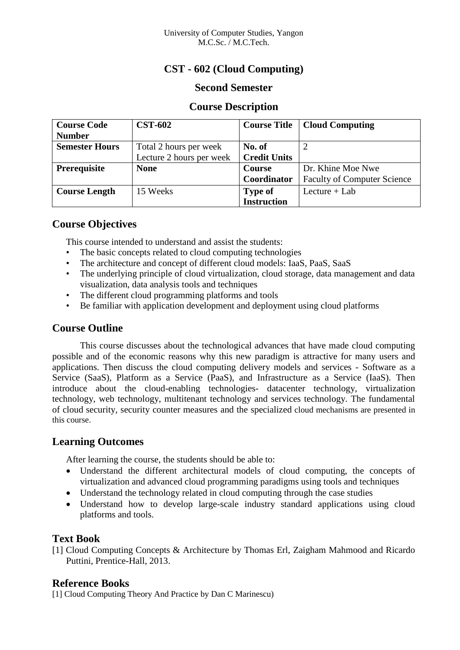# **CST - 602 (Cloud Computing)**

# **Second Semester**

## **Course Description**

| <b>Course Code</b>    | <b>CST-602</b>           | <b>Course Title</b> | <b>Cloud Computing</b>             |
|-----------------------|--------------------------|---------------------|------------------------------------|
| <b>Number</b>         |                          |                     |                                    |
| <b>Semester Hours</b> | Total 2 hours per week   | No. of              |                                    |
|                       | Lecture 2 hours per week | <b>Credit Units</b> |                                    |
| <b>Prerequisite</b>   | <b>None</b>              | <b>Course</b>       | Dr. Khine Moe Nwe                  |
|                       |                          | Coordinator         | <b>Faculty of Computer Science</b> |
| <b>Course Length</b>  | 15 Weeks                 | <b>Type of</b>      | Lecture $+$ Lab                    |
|                       |                          | <b>Instruction</b>  |                                    |

## **Course Objectives**

This course intended to understand and assist the students:

- The basic concepts related to cloud computing technologies
- The architecture and concept of different cloud models: IaaS, PaaS, SaaS
- The underlying principle of cloud virtualization, cloud storage, data management and data visualization, data analysis tools and techniques
- The different cloud programming platforms and tools
- Be familiar with application development and deployment using cloud platforms

## **Course Outline**

This course discusses about the technological advances that have made cloud computing possible and of the economic reasons why this new paradigm is attractive for many users and applications. Then discuss the cloud computing delivery models and services - Software as a Service (SaaS), Platform as a Service (PaaS), and Infrastructure as a Service (IaaS). Then introduce about the cloud-enabling technologies- datacenter technology, virtualization technology, web technology, multitenant technology and services technology. The fundamental of cloud security, security counter measures and the specialized cloud mechanisms are presented in this course.

# **Learning Outcomes**

After learning the course, the students should be able to:

- Understand the different architectural models of cloud computing, the concepts of virtualization and advanced cloud programming paradigms using tools and techniques
- Understand the technology related in cloud computing through the case studies
- Understand how to develop large-scale industry standard applications using cloud platforms and tools.

# **Text Book**

[1] Cloud Computing Concepts & Architecture by Thomas Erl, Zaigham Mahmood and Ricardo Puttini, Prentice-Hall, 2013.

## **Reference Books**

[1] Cloud Computing Theory And Practice by Dan C Marinescu)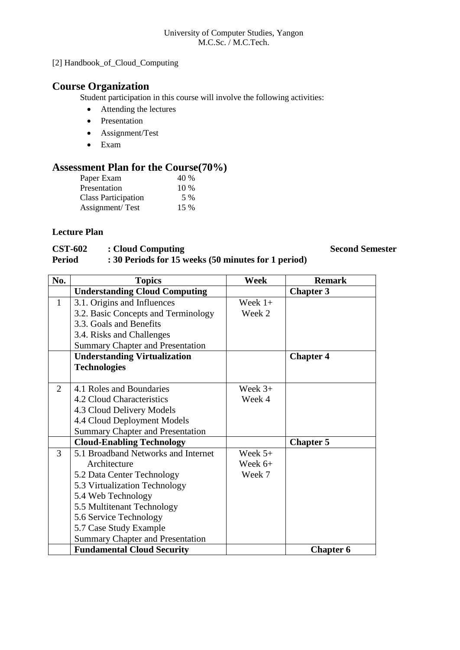### University of Computer Studies, Yangon M.C.Sc. / M.C.Tech.

# [2] Handbook\_of\_Cloud\_Computing

# **Course Organization**

Student participation in this course will involve the following activities:

- Attending the lectures
- Presentation
- Assignment/Test
- Exam

# **Assessment Plan for the Course(70%)**

| Paper Exam                 | 40 %   |
|----------------------------|--------|
| Presentation               | $10\%$ |
| <b>Class Participation</b> | 5 %    |
| Assignment/Test            | 15 %   |

## **Lecture Plan**

## **CST-602 :** Cloud Computing **Second Semester**<br>**Period :** 30 Periods for 15 weeks (50 minutes for 1 period) **Period : 30 Periods for 15 weeks (50 minutes for 1 period)**

| No. | <b>Topics</b>                           | Week      | <b>Remark</b>    |
|-----|-----------------------------------------|-----------|------------------|
|     | <b>Understanding Cloud Computing</b>    |           | <b>Chapter 3</b> |
| 1   | 3.1. Origins and Influences             | Week $1+$ |                  |
|     | 3.2. Basic Concepts and Terminology     | Week 2    |                  |
|     | 3.3. Goals and Benefits                 |           |                  |
|     | 3.4. Risks and Challenges               |           |                  |
|     | <b>Summary Chapter and Presentation</b> |           |                  |
|     | <b>Understanding Virtualization</b>     |           | <b>Chapter 4</b> |
|     | <b>Technologies</b>                     |           |                  |
|     |                                         |           |                  |
| 2   | 4.1 Roles and Boundaries                | Week $3+$ |                  |
|     | 4.2 Cloud Characteristics               | Week 4    |                  |
|     | 4.3 Cloud Delivery Models               |           |                  |
|     | 4.4 Cloud Deployment Models             |           |                  |
|     | <b>Summary Chapter and Presentation</b> |           |                  |
|     | <b>Cloud-Enabling Technology</b>        |           | <b>Chapter 5</b> |
| 3   | 5.1 Broadband Networks and Internet     | Week $5+$ |                  |
|     | Architecture                            | Week $6+$ |                  |
|     | 5.2 Data Center Technology              | Week 7    |                  |
|     | 5.3 Virtualization Technology           |           |                  |
|     | 5.4 Web Technology                      |           |                  |
|     | 5.5 Multitenant Technology              |           |                  |
|     | 5.6 Service Technology                  |           |                  |
|     | 5.7 Case Study Example                  |           |                  |
|     | <b>Summary Chapter and Presentation</b> |           |                  |
|     | <b>Fundamental Cloud Security</b>       |           | <b>Chapter 6</b> |